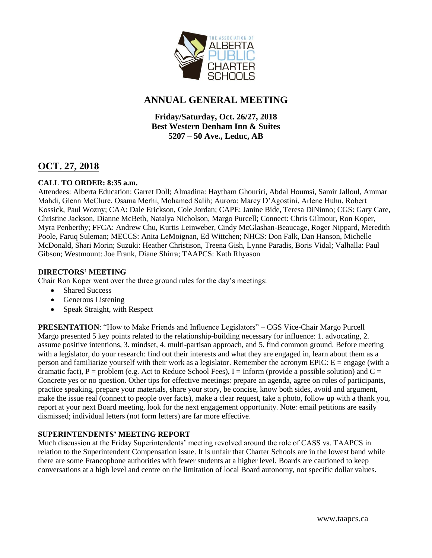

# **ANNUAL GENERAL MEETING**

**Friday/Saturday, Oct. 26/27, 2018 Best Western Denham Inn & Suites 5207 – 50 Ave., Leduc, AB**

# **OCT. 27, 2018**

# **CALL TO ORDER: 8:35 a.m.**

Attendees: Alberta Education: Garret Doll; Almadina: Haytham Ghouriri, Abdal Houmsi, Samir Jalloul, Ammar Mahdi, Glenn McClure, Osama Merhi, Mohamed Salih; Aurora: Marcy D'Agostini, Arlene Huhn, Robert Kossick, Paul Wozny; CAA: Dale Erickson, Cole Jordan; CAPE: Janine Bide, Teresa DiNinno; CGS: Gary Care, Christine Jackson, Dianne McBeth, Natalya Nicholson, Margo Purcell; Connect: Chris Gilmour, Ron Koper, Myra Penberthy; FFCA: Andrew Chu, Kurtis Leinweber, Cindy McGlashan-Beaucage, Roger Nippard, Meredith Poole, Faruq Suleman; MECCS: Anita LeMoignan, Ed Wittchen; NHCS: Don Falk, Dan Hanson, Michelle McDonald, Shari Morin; Suzuki: Heather Christison, Treena Gish, Lynne Paradis, Boris Vidal; Valhalla: Paul Gibson; Westmount: Joe Frank, Diane Shirra; TAAPCS: Kath Rhyason

# **DIRECTORS' MEETING**

Chair Ron Koper went over the three ground rules for the day's meetings:

- Shared Success
- Generous Listening
- Speak Straight, with Respect

**PRESENTATION**: "How to Make Friends and Influence Legislators" – CGS Vice-Chair Margo Purcell Margo presented 5 key points related to the relationship-building necessary for influence: 1. advocating, 2. assume positive intentions, 3. mindset, 4. multi-partisan approach, and 5. find common ground. Before meeting with a legislator, do your research: find out their interests and what they are engaged in, learn about them as a person and familiarize yourself with their work as a legislator. Remember the acronym EPIC:  $E = \text{engage (with a}$ dramatic fact), P = problem (e.g. Act to Reduce School Fees), I = Inform (provide a possible solution) and  $C =$ Concrete yes or no question. Other tips for effective meetings: prepare an agenda, agree on roles of participants, practice speaking, prepare your materials, share your story, be concise, know both sides, avoid and argument, make the issue real (connect to people over facts), make a clear request, take a photo, follow up with a thank you, report at your next Board meeting, look for the next engagement opportunity. Note: email petitions are easily dismissed; individual letters (not form letters) are far more effective.

# **SUPERINTENDENTS' MEETING REPORT**

Much discussion at the Friday Superintendents' meeting revolved around the role of CASS vs. TAAPCS in relation to the Superintendent Compensation issue. It is unfair that Charter Schools are in the lowest band while there are some Francophone authorities with fewer students at a higher level. Boards are cautioned to keep conversations at a high level and centre on the limitation of local Board autonomy, not specific dollar values.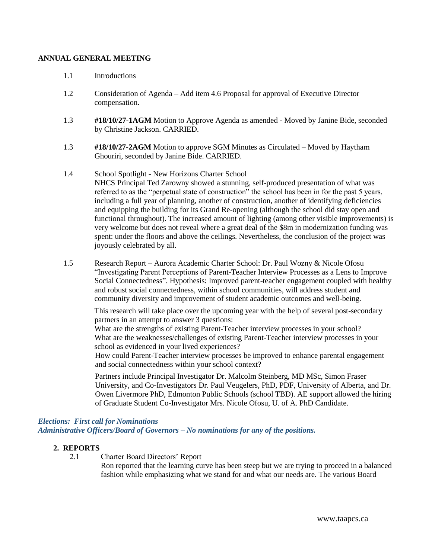#### **ANNUAL GENERAL MEETING**

- 1.1 Introductions
- 1.2 Consideration of Agenda Add item 4.6 Proposal for approval of Executive Director compensation.
- 1.3 **#18/10/27-1AGM** Motion to Approve Agenda as amended Moved by Janine Bide, seconded by Christine Jackson. CARRIED.
- 1.3 **#18/10/27-2AGM** Motion to approve SGM Minutes as Circulated Moved by Haytham Ghouriri, seconded by Janine Bide. CARRIED.
- 1.4 School Spotlight New Horizons Charter School NHCS Principal Ted Zarowny showed a stunning, self-produced presentation of what was referred to as the "perpetual state of construction" the school has been in for the past 5 years, including a full year of planning, another of construction, another of identifying deficiencies and equipping the building for its Grand Re-opening (although the school did stay open and functional throughout). The increased amount of lighting (among other visible improvements) is very welcome but does not reveal where a great deal of the \$8m in modernization funding was spent: under the floors and above the ceilings. Nevertheless, the conclusion of the project was joyously celebrated by all.
- 1.5 Research Report Aurora Academic Charter School: Dr. Paul Wozny & Nicole Ofosu "Investigating Parent Perceptions of Parent-Teacher Interview Processes as a Lens to Improve Social Connectedness". Hypothesis: Improved parent-teacher engagement coupled with healthy and robust social connectedness, within school communities, will address student and community diversity and improvement of student academic outcomes and well-being.

 This research will take place over the upcoming year with the help of several post-secondary partners in an attempt to answer 3 questions:

What are the strengths of existing Parent-Teacher interview processes in your school? What are the weaknesses/challenges of existing Parent-Teacher interview processes in your school as evidenced in your lived experiences?

 How could Parent-Teacher interview processes be improved to enhance parental engagement and social connectedness within your school context?

 Partners include Principal Investigator Dr. Malcolm Steinberg, MD MSc, Simon Fraser University, and Co-Investigators Dr. Paul Veugelers, PhD, PDF, University of Alberta, and Dr. Owen Livermore PhD, Edmonton Public Schools (school TBD). AE support allowed the hiring of Graduate Student Co-Investigator Mrs. Nicole Ofosu, U. of A. PhD Candidate.

#### *Elections: First call for Nominations*

*Administrative Officers/Board of Governors – No nominations for any of the positions.*

#### **2. REPORTS**

2.1 Charter Board Directors' Report

 Ron reported that the learning curve has been steep but we are trying to proceed in a balanced fashion while emphasizing what we stand for and what our needs are. The various Board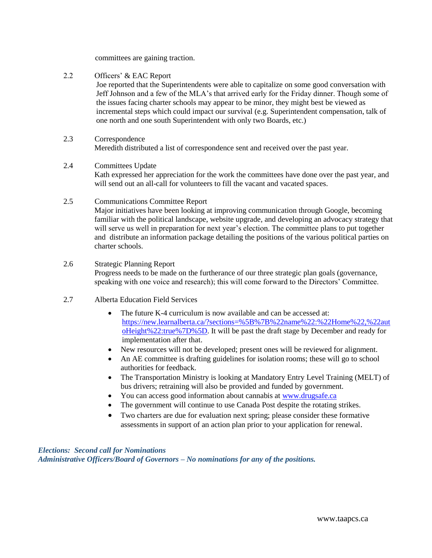committees are gaining traction.

2.2 Officers' & EAC Report

 Joe reported that the Superintendents were able to capitalize on some good conversation with Jeff Johnson and a few of the MLA's that arrived early for the Friday dinner. Though some of the issues facing charter schools may appear to be minor, they might best be viewed as incremental steps which could impact our survival (e.g. Superintendent compensation, talk of one north and one south Superintendent with only two Boards, etc.)

2.3 Correspondence Meredith distributed a list of correspondence sent and received over the past year.

#### 2.4 Committees Update

 Kath expressed her appreciation for the work the committees have done over the past year, and will send out an all-call for volunteers to fill the vacant and vacated spaces.

## 2.5 Communications Committee Report

 Major initiatives have been looking at improving communication through Google, becoming familiar with the political landscape, website upgrade, and developing an advocacy strategy that will serve us well in preparation for next year's election. The committee plans to put together and distribute an information package detailing the positions of the various political parties on charter schools.

#### 2.6 Strategic Planning Report

 Progress needs to be made on the furtherance of our three strategic plan goals (governance, speaking with one voice and research); this will come forward to the Directors' Committee.

- 2.7 Alberta Education Field Services
	- The future K-4 curriculum is now available and can be accessed at: [https://new.learnalberta.ca/?sections=%5B%7B%22name%22:%22Home%22,%22aut](https://new.learnalberta.ca/?sections=%5B%7B%22name%22:%22Home%22,%22autoHeight%22:true%7D%5D) [oHeight%22:true%7D%5D.](https://new.learnalberta.ca/?sections=%5B%7B%22name%22:%22Home%22,%22autoHeight%22:true%7D%5D) It will be past the draft stage by December and ready for implementation after that.
	- New resources will not be developed; present ones will be reviewed for alignment.
	- An AE committee is drafting guidelines for isolation rooms; these will go to school authorities for feedback.
	- The Transportation Ministry is looking at Mandatory Entry Level Training (MELT) of bus drivers; retraining will also be provided and funded by government.
	- You can access good information about cannabis at [www.drugsafe.ca](http://www.drugsafe.ca/)
	- The government will continue to use Canada Post despite the rotating strikes.
	- Two charters are due for evaluation next spring; please consider these formative assessments in support of an action plan prior to your application for renewal.

*Elections: Second call for Nominations Administrative Officers/Board of Governors – No nominations for any of the positions.*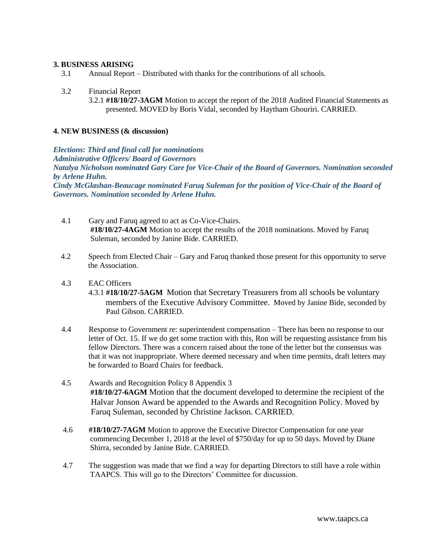## **3. BUSINESS ARISING**

- 3.1 Annual Report Distributed with thanks for the contributions of all schools.
- 3.2 Financial Report
	- 3.2.1 **#18/10/27-3AGM** Motion to accept the report of the 2018 Audited Financial Statements as presented. MOVED by Boris Vidal, seconded by Haytham Ghouriri. CARRIED.

## **4. NEW BUSINESS (& discussion)**

*Elections: Third and final call for nominations Administrative Officers/ Board of Governors Natalya Nicholson nominated Gary Care for Vice-Chair of the Board of Governors. Nomination seconded by Arlene Huhn. Cindy McGlashan-Beaucage nominated Faruq Suleman for the position of Vice-Chair of the Board of Governors. Nomination seconded by Arlene Huhn.* 

- 4.1Gary and Faruq agreed to act as Co-Vice-Chairs.  **#18/10/27-4AGM** Motion to accept the results of the 2018 nominations. Moved by Faruq Suleman, seconded by Janine Bide. CARRIED.
- 4.2 Speech from Elected Chair Gary and Faruq thanked those present for this opportunity to serve the Association.

## 4.3 EAC Officers

- 4.3.1 **#18/10/27-5AGM** Motion that Secretary Treasurers from all schools be voluntary members of the Executive Advisory Committee. Moved by Janine Bide, seconded by Paul Gibson. CARRIED.
- 4.4 Response to Government re: superintendent compensation There has been no response to our letter of Oct. 15. If we do get some traction with this, Ron will be requesting assistance from his fellow Directors. There was a concern raised about the tone of the letter but the consensus was that it was not inappropriate. Where deemed necessary and when time permits, draft letters may be forwarded to Board Chairs for feedback.
- 4.5 Awards and Recognition Policy 8 Appendix 3 **#18/10/27-6AGM** Motion that the document developed to determine the recipient of the Halvar Jonson Award be appended to the Awards and Recognition Policy. Moved by Faruq Suleman, seconded by Christine Jackson. CARRIED.
- 4.6 **#18/10/27-7AGM** Motion to approve the Executive Director Compensation for one year commencing December 1, 2018 at the level of \$750/day for up to 50 days. Moved by Diane Shirra, seconded by Janine Bide. CARRIED.
- 4.7 The suggestion was made that we find a way for departing Directors to still have a role within TAAPCS. This will go to the Directors' Committee for discussion.